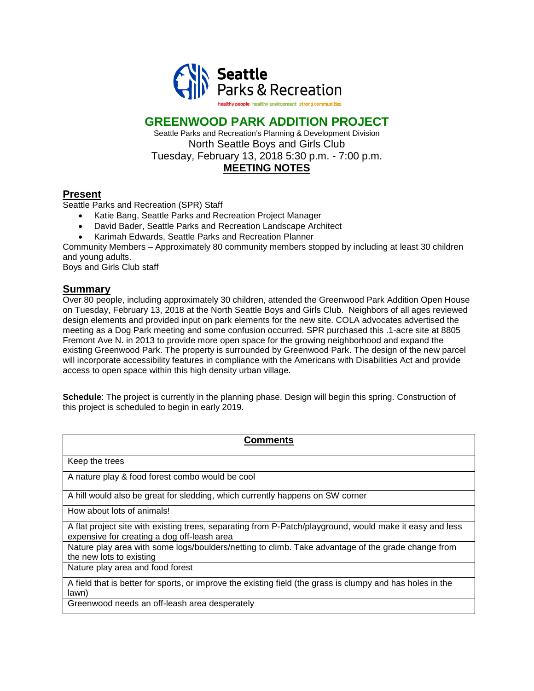

## **GREENWOOD PARK ADDITION PROJECT**

Seattle Parks and Recreation's Planning & Development Division North Seattle Boys and Girls Club Tuesday, February 13, 2018 5:30 p.m. - 7:00 p.m. **MEETING NOTES**

## **Present**

Seattle Parks and Recreation (SPR) Staff

- Katie Bang, Seattle Parks and Recreation Project Manager
- David Bader, Seattle Parks and Recreation Landscape Architect
- Karimah Edwards, Seattle Parks and Recreation Planner

Community Members – Approximately 80 community members stopped by including at least 30 children and young adults.

Boys and Girls Club staff

## **Summary**

Over 80 people, including approximately 30 children, attended the Greenwood Park Addition Open House on Tuesday, February 13, 2018 at the North Seattle Boys and Girls Club. Neighbors of all ages reviewed design elements and provided input on park elements for the new site. COLA advocates advertised the meeting as a Dog Park meeting and some confusion occurred. SPR purchased this .1-acre site at 8805 Fremont Ave N. in 2013 to provide more open space for the growing neighborhood and expand the existing Greenwood Park. The property is surrounded by Greenwood Park. The design of the new parcel will incorporate accessibility features in compliance with the Americans with Disabilities Act and provide access to open space within this high density urban village.

**Schedule**: The project is currently in the planning phase. Design will begin this spring. Construction of this project is scheduled to begin in early 2019.

| Comments                                                                                                                                                |
|---------------------------------------------------------------------------------------------------------------------------------------------------------|
| Keep the trees                                                                                                                                          |
| A nature play & food forest combo would be cool                                                                                                         |
| A hill would also be great for sledding, which currently happens on SW corner                                                                           |
| How about lots of animals!                                                                                                                              |
| A flat project site with existing trees, separating from P-Patch/playground, would make it easy and less<br>expensive for creating a dog off-leash area |
| Nature play area with some logs/boulders/netting to climb. Take advantage of the grade change from<br>the new lots to existing                          |
| Nature play area and food forest                                                                                                                        |
| A field that is better for sports, or improve the existing field (the grass is clumpy and has holes in the<br>lawn)                                     |
| Greenwood needs an off-leash area desperately                                                                                                           |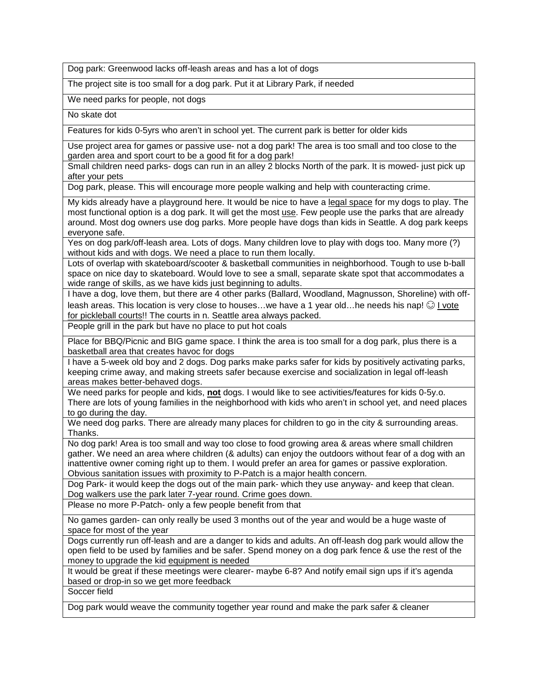Dog park: Greenwood lacks off-leash areas and has a lot of dogs

The project site is too small for a dog park. Put it at Library Park, if needed

We need parks for people, not dogs

No skate dot

Features for kids 0-5yrs who aren't in school yet. The current park is better for older kids

Use project area for games or passive use- not a dog park! The area is too small and too close to the garden area and sport court to be a good fit for a dog park!

Small children need parks- dogs can run in an alley 2 blocks North of the park. It is mowed- just pick up after your pets

Dog park, please. This will encourage more people walking and help with counteracting crime.

My kids already have a playground here. It would be nice to have a legal space for my dogs to play. The most functional option is a dog park. It will get the most use. Few people use the parks that are already around. Most dog owners use dog parks. More people have dogs than kids in Seattle. A dog park keeps everyone safe.

Yes on dog park/off-leash area. Lots of dogs. Many children love to play with dogs too. Many more (?) without kids and with dogs. We need a place to run them locally.

Lots of overlap with skateboard/scooter & basketball communities in neighborhood. Tough to use b-ball space on nice day to skateboard. Would love to see a small, separate skate spot that accommodates a wide range of skills, as we have kids just beginning to adults.

I have a dog, love them, but there are 4 other parks (Ballard, Woodland, Magnusson, Shoreline) with offleash areas. This location is very close to houses...we have a 1 year old...he needs his nap!  $\odot$  I vote for pickleball courts!! The courts in n. Seattle area always packed.

People grill in the park but have no place to put hot coals

Place for BBQ/Picnic and BIG game space. I think the area is too small for a dog park, plus there is a basketball area that creates havoc for dogs

I have a 5-week old boy and 2 dogs. Dog parks make parks safer for kids by positively activating parks, keeping crime away, and making streets safer because exercise and socialization in legal off-leash areas makes better-behaved dogs.

We need parks for people and kids, **not** dogs. I would like to see activities/features for kids 0-5y.o. There are lots of young families in the neighborhood with kids who aren't in school yet, and need places to go during the day.

We need dog parks. There are already many places for children to go in the city & surrounding areas. Thanks.

No dog park! Area is too small and way too close to food growing area & areas where small children gather. We need an area where children (& adults) can enjoy the outdoors without fear of a dog with an inattentive owner coming right up to them. I would prefer an area for games or passive exploration. Obvious sanitation issues with proximity to P-Patch is a major health concern.

Dog Park- it would keep the dogs out of the main park- which they use anyway- and keep that clean. Dog walkers use the park later 7-year round. Crime goes down.

Please no more P-Patch- only a few people benefit from that

No games garden- can only really be used 3 months out of the year and would be a huge waste of space for most of the year

Dogs currently run off-leash and are a danger to kids and adults. An off-leash dog park would allow the open field to be used by families and be safer. Spend money on a dog park fence & use the rest of the money to upgrade the kid equipment is needed

It would be great if these meetings were clearer- maybe 6-8? And notify email sign ups if it's agenda based or drop-in so we get more feedback

Soccer field

Dog park would weave the community together year round and make the park safer & cleaner